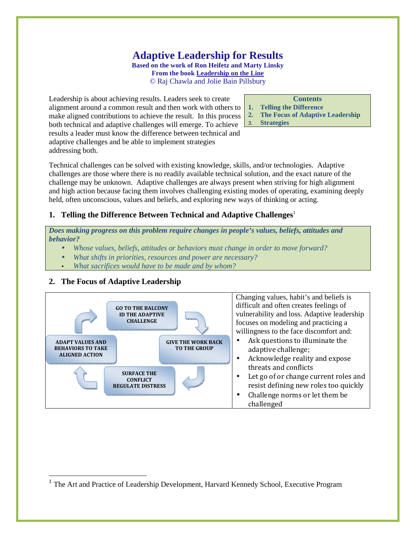## **Adaptive Leadership for Results Based on the work of Ron Heifetz and Marty Linsky From the book Leadership on the Line**

© Raj Chawla and Jolie Bain Pillsbury

Leadership is about achieving results. Leaders seek to create alignment around a common result and then work with others to make aligned contributions to achieve the result. In this process both technical and adaptive challenges will emerge. To achieve results a leader must know the difference between technical and adaptive challenges and be able to implement strategies addressing both.

#### **Contents**

- **1. Telling the Difference**
- **2. The Focus of Adaptive Leadership**
- 3. **Strategies**

Technical challenges can be solved with existing knowledge, skills, and/or technologies. Adaptive challenges are those where there is no readily available technical solution, and the exact nature of the challenge may be unknown. Adaptive challenges are always present when striving for high alignment and high action because facing them involves challenging existing modes of operating, examining deeply held, often unconscious, values and beliefs, and exploring new ways of thinking or acting.

# **1. Telling the Difference Between Technical and Adaptive Challenges<sup>1</sup>**

*Does making progress on this problem require changes in people's values, beliefs, attitudes and behavior?* 

- *Whose values, beliefs, attitudes or behaviors must change in order to move forward?*
- *What shifts in priorities, resources and power are necessary?*
- *What sacrifices would have to be made and by whom?*

# **2. The Focus of Adaptive Leadership**

<u>.</u>



<sup>&</sup>lt;sup>1</sup> The Art and Practice of Leadership Development, Harvard Kennedy School, Executive Program